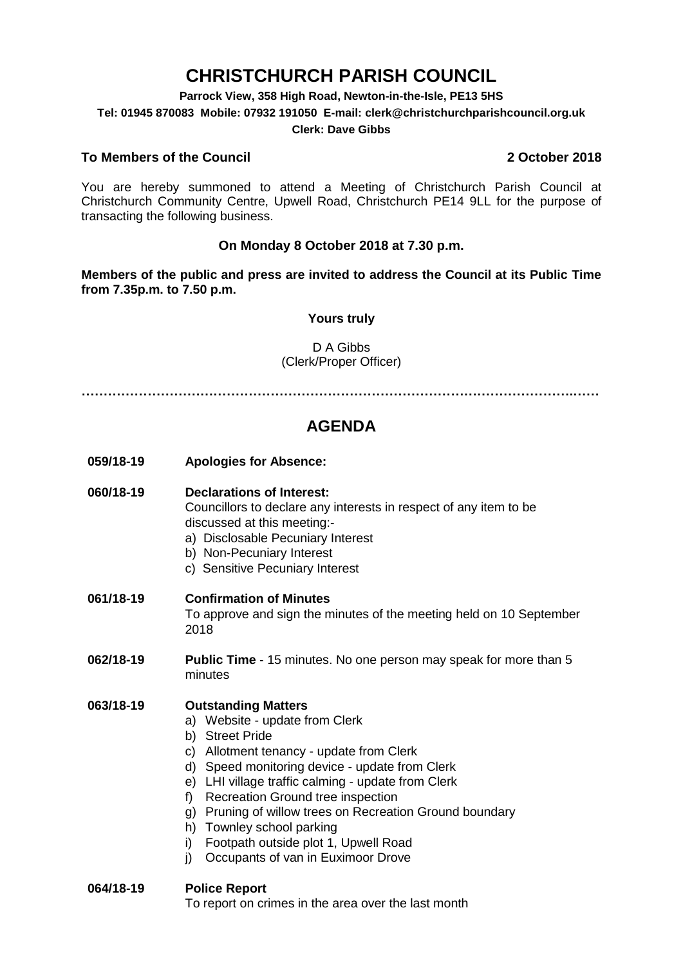# **CHRISTCHURCH PARISH COUNCIL**

**Parrock View, 358 High Road, Newton-in-the-Isle, PE13 5HS**

**Tel: 01945 870083 Mobile: 07932 191050 E-mail: clerk@christchurchparishcouncil.org.uk**

#### **Clerk: Dave Gibbs**

#### **To Members of the Council 2 October 2018**

You are hereby summoned to attend a Meeting of Christchurch Parish Council at Christchurch Community Centre, Upwell Road, Christchurch PE14 9LL for the purpose of transacting the following business.

## **On Monday 8 October 2018 at 7.30 p.m.**

**Members of the public and press are invited to address the Council at its Public Time from 7.35p.m. to 7.50 p.m.** 

#### **Yours truly**

### D A Gibbs (Clerk/Proper Officer)

**………………………………………………………………………………………………….……**

# **AGENDA**

**059/18-19 Apologies for Absence:** 

#### **060/18-19 Declarations of Interest:**

Councillors to declare any interests in respect of any item to be discussed at this meeting:-

- a) Disclosable Pecuniary Interest
- b) Non-Pecuniary Interest
- c) Sensitive Pecuniary Interest

#### **061/18-19 Confirmation of Minutes**

To approve and sign the minutes of the meeting held on 10 September 2018

**062/18-19 Public Time** - 15 minutes. No one person may speak for more than 5 minutes

#### **063/18-19 Outstanding Matters**

- a) Website update from Clerk
- b) Street Pride
- c) Allotment tenancy update from Clerk
- d) Speed monitoring device update from Clerk
- e) LHI village traffic calming update from Clerk
- f) Recreation Ground tree inspection
- g) Pruning of willow trees on Recreation Ground boundary
- h) Townley school parking
- i) Footpath outside plot 1, Upwell Road
- j) Occupants of van in Euximoor Drove
- **064/18-19 Police Report**

To report on crimes in the area over the last month